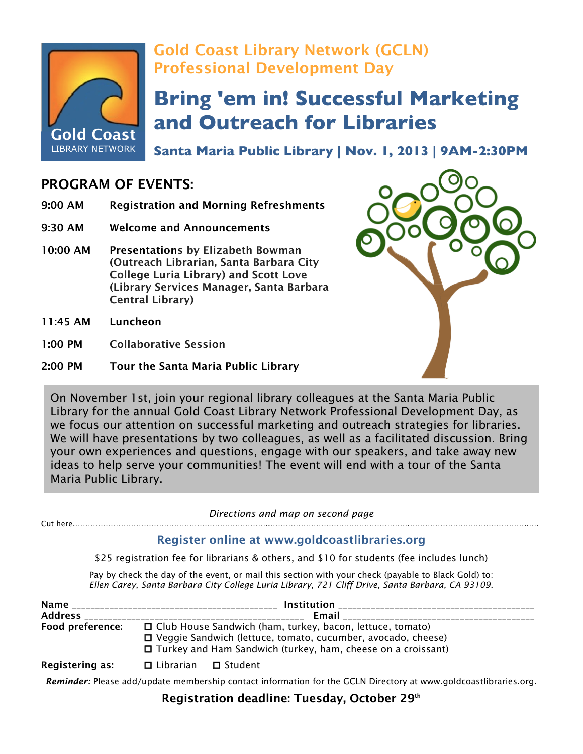

### Gold Coast Library Network (GCLN) Professional Development Day

## **Bring 'em in! Successful Marketing and Outreach for Libraries**

**Santa Maria Public Library | Nov. 1, 2013 | 9AM-2:30PM** 

#### PROGRAM OF EVENTS:

- 9:00 AM Registration and Morning Refreshments
- 9:30 AM Welcome and Announcements
- 10:00 AM Presentations by Elizabeth Bowman (Outreach Librarian, Santa Barbara City College Luria Library) and Scott Love (Library Services Manager, Santa Barbara Central Library)
- 11:45 AM Luncheon
- 1:00 PM Collaborative Session
- 2:00 PM Tour the Santa Maria Public Library



On November 1st, join your regional library colleagues at the Santa Maria Public Library for the annual Gold Coast Library Network Professional Development Day, as we focus our attention on successful marketing and outreach strategies for libraries. We will have presentations by two colleagues, as well as a facilitated discussion. Bring your own experiences and questions, engage with our speakers, and take away new ideas to help serve your communities! The event will end with a tour of the Santa Maria Public Library.

#### *Directions and map on second page*  $\Gamma$ ut here.

#### Register online at www.goldcoastlibraries.org

\$25 registration fee for librarians & others, and \$10 for students (fee includes lunch)

Pay by check the day of the event, or mail this section with your check (payable to Black Gold) to: *Ellen Carey, Santa Barbara City College Luria Library, 721 Cliff Drive, Santa Barbara, CA 93109.*

| Food preference:       | □ Club House Sandwich (ham, turkey, bacon, lettuce, tomato)<br>□ Veggie Sandwich (lettuce, tomato, cucumber, avocado, cheese)<br>$\Box$ Turkey and Ham Sandwich (turkey, ham, cheese on a croissant) |
|------------------------|------------------------------------------------------------------------------------------------------------------------------------------------------------------------------------------------------|
| <b>Registering as:</b> | $\Box$ Librarian $\Box$ Student                                                                                                                                                                      |

*Reminder:* Please add/update membership contact information for the GCLN Directory at www.goldcoastlibraries.org.

Registration deadline: Tuesday, October 29th